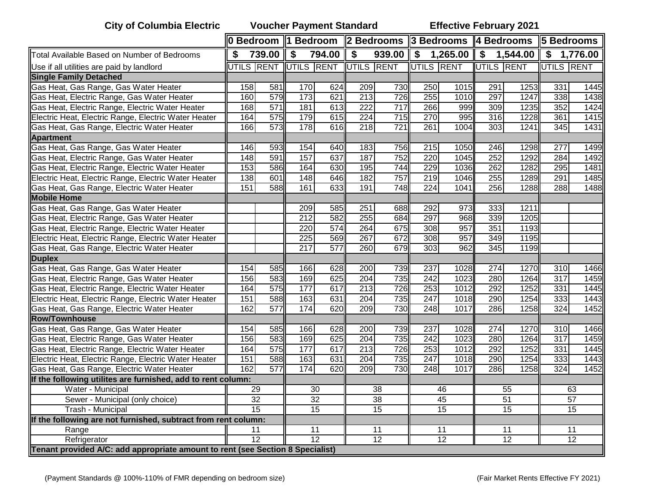**City of Columbia Electric Voucher Payment Standard Effective February 2021**

|                                                                                | 0 Bedroom   1 Bedroom |                  |                                  |                  | 2 Bedrooms 3 Bedrooms 4 Bedrooms |        |                  |                                        |                  |      | <b>5 Bedrooms</b> |            |
|--------------------------------------------------------------------------------|-----------------------|------------------|----------------------------------|------------------|----------------------------------|--------|------------------|----------------------------------------|------------------|------|-------------------|------------|
| Total Available Based on Number of Bedrooms                                    | \$                    | 739.00           | \$                               | 794.00           | \$                               | 939.00 |                  | $$1,265.00 \, \text{S} \quad 1,544.00$ |                  |      |                   | \$1,776.00 |
| Use if all utilities are paid by landlord                                      |                       |                  | UTILS RENT UTILS RENT UTILS RENT |                  |                                  |        | UTILS RENT       |                                        | UTILS RENT       |      | UTILS RENT        |            |
| <b>Single Family Detached</b>                                                  |                       |                  |                                  |                  |                                  |        |                  |                                        |                  |      |                   |            |
| Gas Heat, Gas Range, Gas Water Heater                                          | 158                   | 581              | 170                              | 624              | 209                              | 730    | 250              | 1015                                   | 291              | 1253 | 331               | 1445       |
| Gas Heat, Electric Range, Gas Water Heater                                     | 160                   | 579              | 173                              | 621              | 213                              | 726    | 255              | 1010                                   | 297              | 1247 | 338               | 1438       |
| Gas Heat, Electric Range, Electric Water Heater                                | 168                   | $\overline{571}$ | 181                              | 613              | 222                              | 717    | 266              | 999                                    | 309              | 1235 | 352               | 1424       |
| Electric Heat, Electric Range, Electric Water Heater                           | 164                   | 575              | 179                              | 615              | 224                              | 715    | 270              | 995                                    | 316              | 1228 | 361               | 1415       |
| Gas Heat, Gas Range, Electric Water Heater                                     | 166                   | 573              | 178                              | 616              | 218                              | 721    | 261              | 1004                                   | $\overline{303}$ | 1241 | 345               | 1431       |
| <b>Apartment</b>                                                               |                       |                  |                                  |                  |                                  |        |                  |                                        |                  |      |                   |            |
| Gas Heat, Gas Range, Gas Water Heater                                          | 146                   | 593              | 154                              | 640              | 183                              | 756    | 215              | 1050                                   | 246              | 1298 | 277               | 1499       |
| Gas Heat, Electric Range, Gas Water Heater                                     | 148                   | 591              | 157                              | 637              | 187                              | 752    | $\overline{220}$ | 1045                                   | 252              | 1292 | 284               | 1492       |
| Gas Heat, Electric Range, Electric Water Heater                                | 153                   | 586              | 164                              | 630              | 195                              | 744    | 229              | 1036                                   | 262              | 1282 | 295               | 1481       |
| Electric Heat, Electric Range, Electric Water Heater                           | 138                   | 601              | 148                              | 646              | 182                              | 757    | 219              | 1046                                   | 255              | 1289 | 291               | 1485       |
| Gas Heat, Gas Range, Electric Water Heater                                     | 151                   | 588              | 161                              | 633              | 191                              | 748    | 224              | 1041                                   | 256              | 1288 | 288               | 1488       |
| <b>Mobile Home</b>                                                             |                       |                  |                                  |                  |                                  |        |                  |                                        |                  |      |                   |            |
| Gas Heat, Gas Range, Gas Water Heater                                          |                       |                  | 209                              | 585              | 251                              | 688    | 292              | 973                                    | 333              | 1211 |                   |            |
| Gas Heat, Electric Range, Gas Water Heater                                     |                       |                  | 212                              | 582              | 255                              | 684    | 297              | 968                                    | 339              | 1205 |                   |            |
| Gas Heat, Electric Range, Electric Water Heater                                |                       |                  | 220                              | 574              | 264                              | 675    | 308              | 957                                    | 351              | 1193 |                   |            |
| Electric Heat, Electric Range, Electric Water Heater                           |                       |                  | 225                              | 569              | 267                              | 672    | 308              | 957                                    | 349              | 1195 |                   |            |
| Gas Heat, Gas Range, Electric Water Heater                                     |                       |                  | $\overline{217}$                 | $\overline{577}$ | 260                              | 679    | 303              | 962                                    | 345              | 1199 |                   |            |
| <b>Duplex</b>                                                                  |                       |                  |                                  |                  |                                  |        |                  |                                        |                  |      |                   |            |
| Gas Heat, Gas Range, Gas Water Heater                                          | 154                   | 585              | 166                              | 628              | 200                              | 739    | 237              | 1028                                   | $\overline{274}$ | 1270 | 310               | 1466       |
| Gas Heat, Electric Range, Gas Water Heater                                     | 156                   | 583              | 169                              | 625              | 204                              | 735    | 242              | 1023                                   | 280              | 1264 | $\overline{317}$  | 1459       |
| Gas Heat, Electric Range, Electric Water Heater                                | 164                   | 575              | 177                              | 617              | 213                              | 726    | 253              | 1012                                   | 292              | 1252 | 331               | 1445       |
| Electric Heat, Electric Range, Electric Water Heater                           | 151                   | 588              | 163                              | 631              | 204                              | 735    | $\overline{247}$ | 1018                                   | 290              | 1254 | 333               | 1443       |
| Gas Heat, Gas Range, Electric Water Heater                                     | 162                   | $\overline{577}$ | 174                              | 620              | 209                              | 730    | 248              | 1017                                   | 286              | 1258 | 324               | 1452       |
| <b>Row/Townhouse</b>                                                           |                       |                  |                                  |                  |                                  |        |                  |                                        |                  |      |                   |            |
| Gas Heat, Gas Range, Gas Water Heater                                          | 154                   | 585              | 166                              | 628              | 200                              | 739    | 237              | 1028                                   | 274              | 1270 | 310               | 1466       |
| Gas Heat, Electric Range, Gas Water Heater                                     | 156                   | 583              | 169                              | 625              | 204                              | 735    | 242              | 1023                                   | 280              | 1264 | 317               | 1459       |
| Gas Heat, Electric Range, Electric Water Heater                                | 164                   | 575              | 177                              | 617              | 213                              | 726    | 253              | 1012                                   | 292              | 1252 | 331               | 1445       |
| Electric Heat, Electric Range, Electric Water Heater                           | 151                   | 588              | 163                              | 631              | 204                              | 735    | 247              | 1018                                   | 290              | 1254 | 333               | 1443       |
| Gas Heat, Gas Range, Electric Water Heater                                     | 162                   | 577              | 174                              | 620              | 209                              | 730    | 248              | 1017                                   | 286              | 1258 | 324               | 1452       |
| If the following utilites are furnished, add to rent column:                   |                       |                  |                                  |                  |                                  |        |                  |                                        |                  |      |                   |            |
| Water - Municipal                                                              | 29                    |                  | 30                               |                  | $\overline{38}$                  |        | 46               |                                        | 55               |      | 63                |            |
| Sewer - Municipal (only choice)                                                | 32                    |                  | 32                               |                  | 38                               |        | 45               |                                        | 51               |      | $\overline{57}$   |            |
| Trash - Municipal                                                              | $\overline{15}$       |                  | $\overline{15}$                  |                  | 15                               |        | 15               |                                        | 15               |      | 15                |            |
| If the following are not furnished, subtract from rent column:                 |                       |                  |                                  |                  |                                  |        |                  |                                        |                  |      |                   |            |
| Range                                                                          | 11                    |                  | 11                               |                  | 11                               |        | 11               |                                        | 11               |      | 11                |            |
| Refrigerator                                                                   | $\overline{12}$       |                  | $\overline{12}$                  |                  | 12                               |        | $\overline{12}$  |                                        | $\overline{12}$  |      | 12                |            |
| Tenant provided A/C: add appropriate amount to rent (see Section 8 Specialist) |                       |                  |                                  |                  |                                  |        |                  |                                        |                  |      |                   |            |